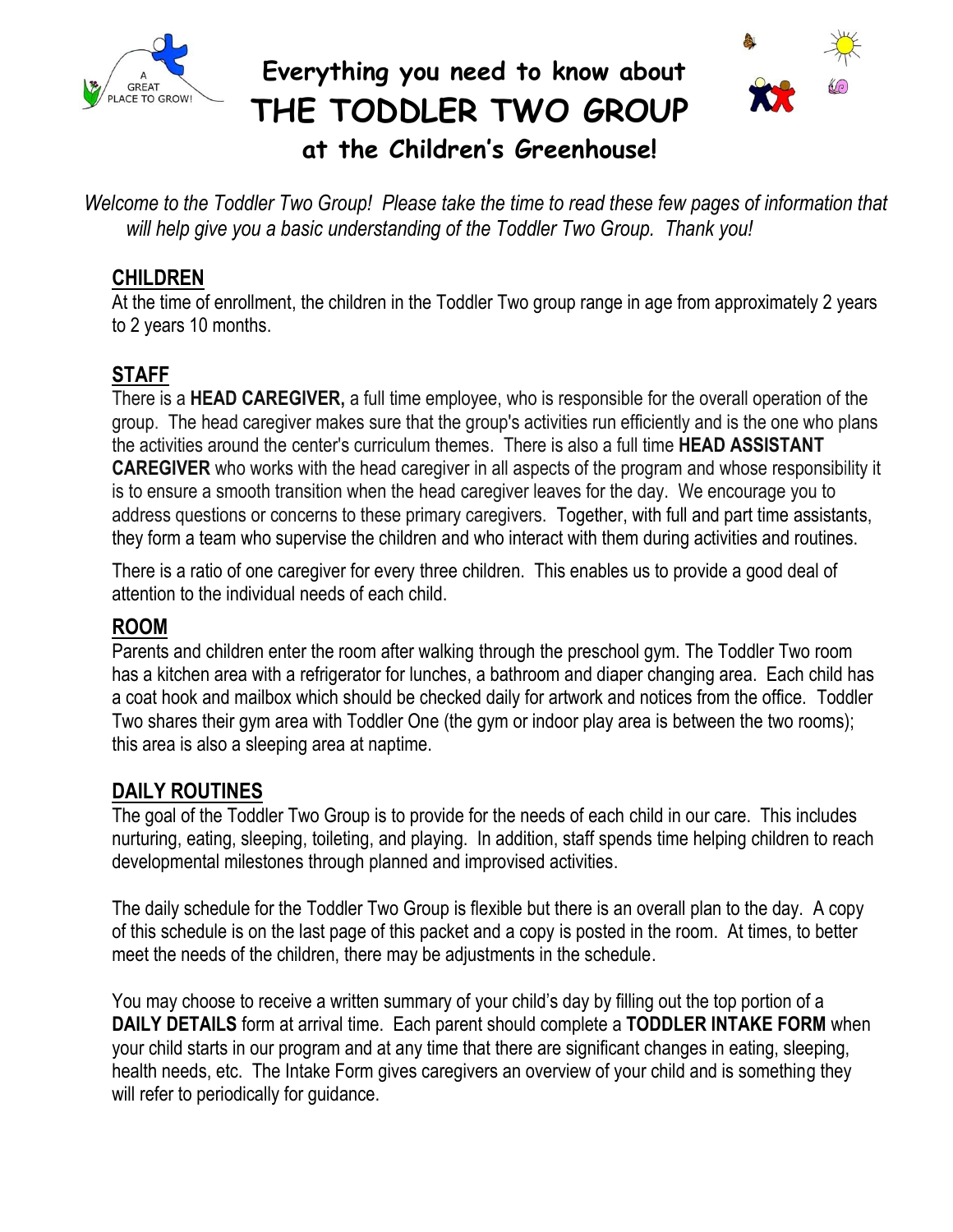

# **Everything you need to know about THE TODDLER TWO GROUP**



 **at the Children's Greenhouse!**

*Welcome to the Toddler Two Group! Please take the time to read these few pages of information that will help give you a basic understanding of the Toddler Two Group. Thank you!*

#### **CHILDREN**

At the time of enrollment, the children in the Toddler Two group range in age from approximately 2 years to 2 years 10 months.

# **STAFF**

There is a **HEAD CAREGIVER,** a full time employee, who is responsible for the overall operation of the group. The head caregiver makes sure that the group's activities run efficiently and is the one who plans the activities around the center's curriculum themes. There is also a full time **HEAD ASSISTANT CAREGIVER** who works with the head caregiver in all aspects of the program and whose responsibility it is to ensure a smooth transition when the head caregiver leaves for the day. We encourage you to address questions or concerns to these primary caregivers. Together, with full and part time assistants, they form a team who supervise the children and who interact with them during activities and routines.

There is a ratio of one caregiver for every three children. This enables us to provide a good deal of attention to the individual needs of each child.

#### **ROOM**

Parents and children enter the room after walking through the preschool gym. The Toddler Two room has a kitchen area with a refrigerator for lunches, a bathroom and diaper changing area. Each child has a coat hook and mailbox which should be checked daily for artwork and notices from the office. Toddler Two shares their gym area with Toddler One (the gym or indoor play area is between the two rooms); this area is also a sleeping area at naptime.

#### **DAILY ROUTINES**

The goal of the Toddler Two Group is to provide for the needs of each child in our care. This includes nurturing, eating, sleeping, toileting, and playing. In addition, staff spends time helping children to reach developmental milestones through planned and improvised activities.

The daily schedule for the Toddler Two Group is flexible but there is an overall plan to the day. A copy of this schedule is on the last page of this packet and a copy is posted in the room. At times, to better meet the needs of the children, there may be adjustments in the schedule.

You may choose to receive a written summary of your child's day by filling out the top portion of a **DAILY DETAILS** form at arrival time. Each parent should complete a **TODDLER INTAKE FORM** when your child starts in our program and at any time that there are significant changes in eating, sleeping, health needs, etc. The Intake Form gives caregivers an overview of your child and is something they will refer to periodically for guidance.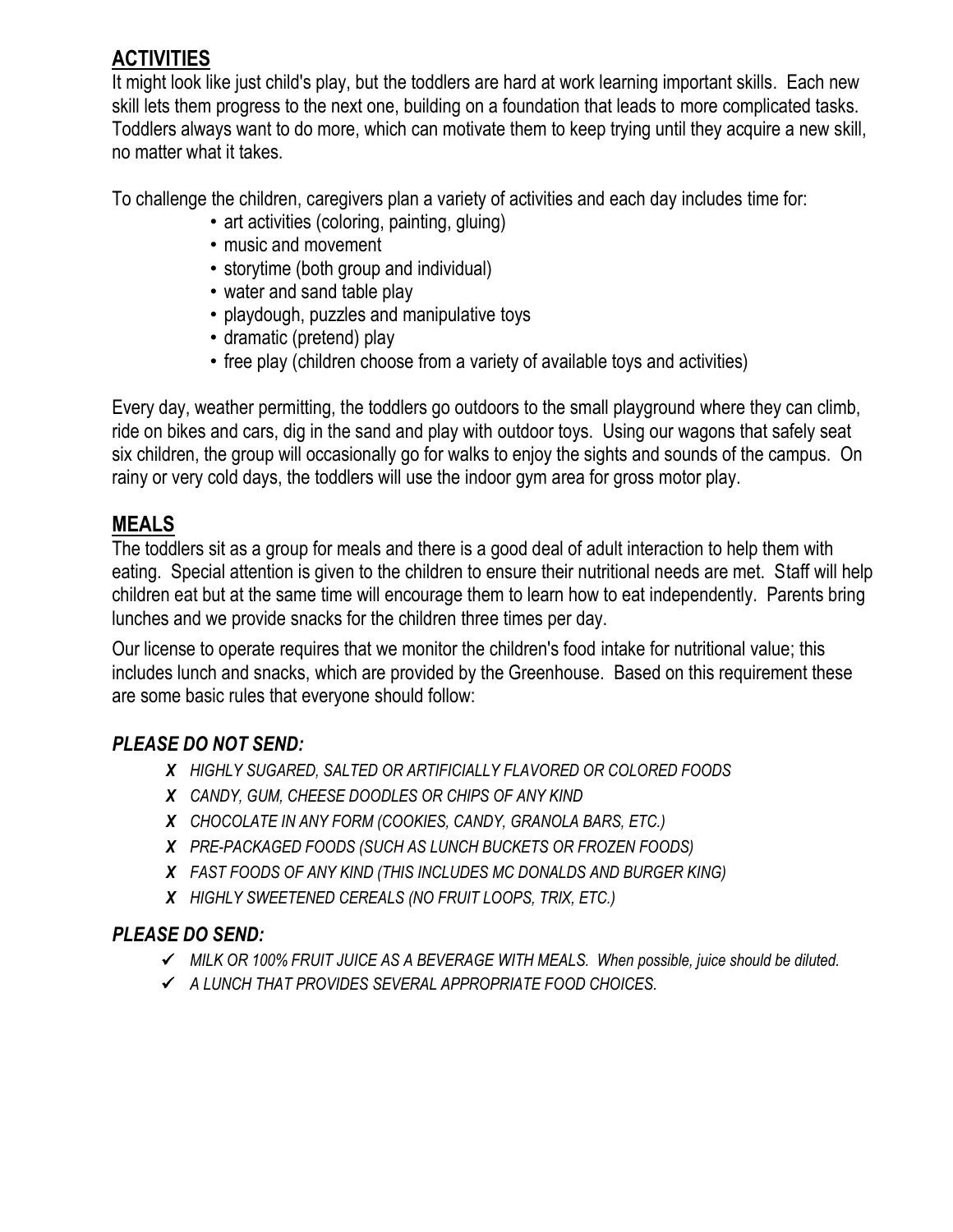## **ACTIVITIES**

It might look like just child's play, but the toddlers are hard at work learning important skills. Each new skill lets them progress to the next one, building on a foundation that leads to more complicated tasks. Toddlers always want to do more, which can motivate them to keep trying until they acquire a new skill, no matter what it takes.

To challenge the children, caregivers plan a variety of activities and each day includes time for:

- art activities (coloring, painting, gluing)
- music and movement
- storytime (both group and individual)
- water and sand table play
- playdough, puzzles and manipulative toys
- dramatic (pretend) play
- free play (children choose from a variety of available toys and activities)

Every day, weather permitting, the toddlers go outdoors to the small playground where they can climb, ride on bikes and cars, dig in the sand and play with outdoor toys. Using our wagons that safely seat six children, the group will occasionally go for walks to enjoy the sights and sounds of the campus. On rainy or very cold days, the toddlers will use the indoor gym area for gross motor play.

#### **MEALS**

The toddlers sit as a group for meals and there is a good deal of adult interaction to help them with eating. Special attention is given to the children to ensure their nutritional needs are met. Staff will help children eat but at the same time will encourage them to learn how to eat independently. Parents bring lunches and we provide snacks for the children three times per day.

Our license to operate requires that we monitor the children's food intake for nutritional value; this includes lunch and snacks, which are provided by the Greenhouse. Based on this requirement these are some basic rules that everyone should follow:

#### *PLEASE DO NOT SEND:*

- *X HIGHLY SUGARED, SALTED OR ARTIFICIALLY FLAVORED OR COLORED FOODS*
- *X CANDY, GUM, CHEESE DOODLES OR CHIPS OF ANY KIND*
- *X CHOCOLATE IN ANY FORM (COOKIES, CANDY, GRANOLA BARS, ETC.)*
- *X PRE-PACKAGED FOODS (SUCH AS LUNCH BUCKETS OR FROZEN FOODS)*
- *X FAST FOODS OF ANY KIND (THIS INCLUDES MC DONALDS AND BURGER KING)*
- *X HIGHLY SWEETENED CEREALS (NO FRUIT LOOPS, TRIX, ETC.)*

#### *PLEASE DO SEND:*

- *MILK OR 100% FRUIT JUICE AS A BEVERAGE WITH MEALS. When possible, juice should be diluted.*
- *A LUNCH THAT PROVIDES SEVERAL APPROPRIATE FOOD CHOICES.*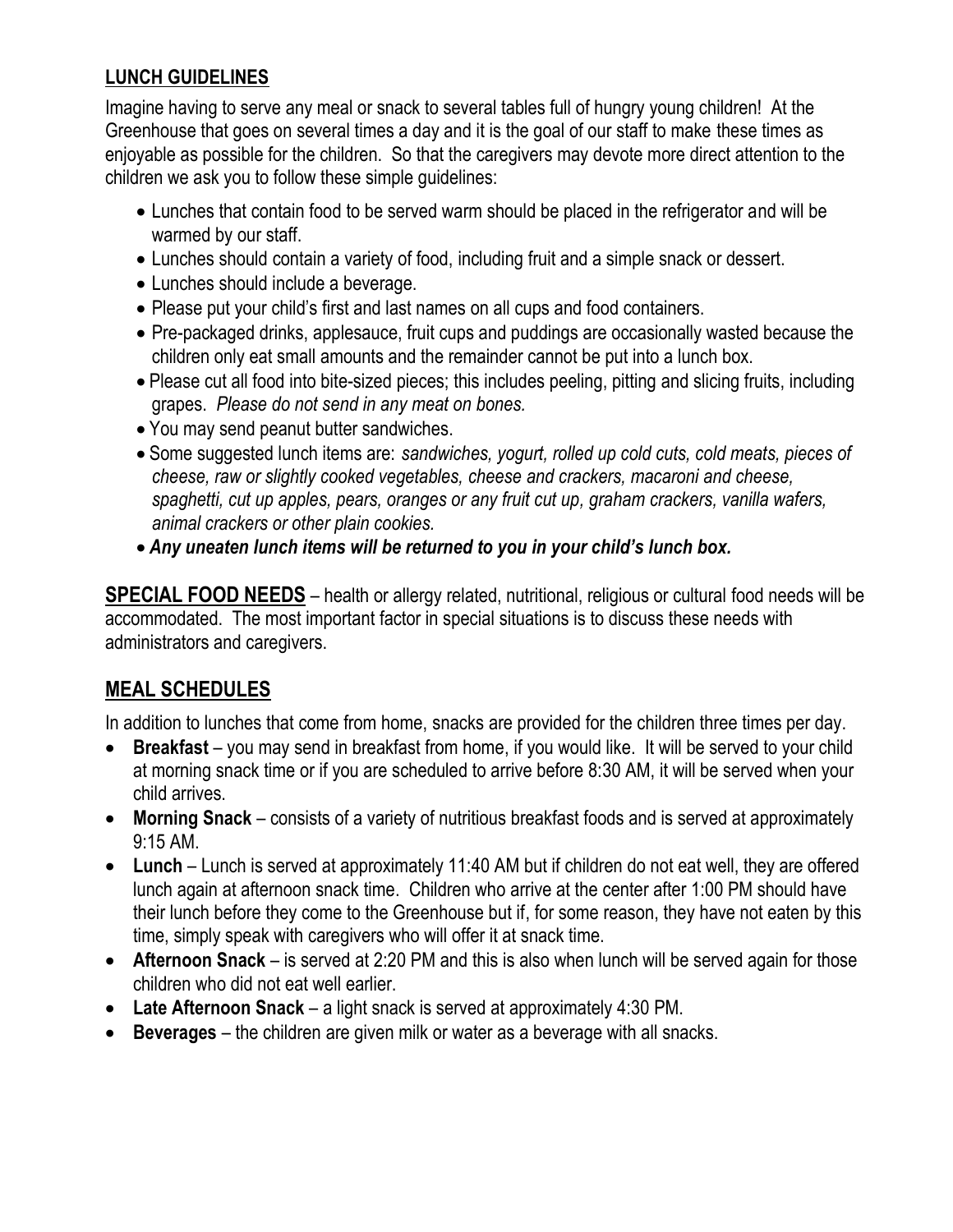#### **LUNCH GUIDELINES**

Imagine having to serve any meal or snack to several tables full of hungry young children! At the Greenhouse that goes on several times a day and it is the goal of our staff to make these times as enjoyable as possible for the children. So that the caregivers may devote more direct attention to the children we ask you to follow these simple guidelines:

- Lunches that contain food to be served warm should be placed in the refrigerator and will be warmed by our staff.
- Lunches should contain a variety of food, including fruit and a simple snack or dessert.
- Lunches should include a beverage.
- Please put your child's first and last names on all cups and food containers.
- Pre-packaged drinks, applesauce, fruit cups and puddings are occasionally wasted because the children only eat small amounts and the remainder cannot be put into a lunch box.
- Please cut all food into bite-sized pieces; this includes peeling, pitting and slicing fruits, including grapes. *Please do not send in any meat on bones.*
- You may send peanut butter sandwiches.
- Some suggested lunch items are: *sandwiches, yogurt, rolled up cold cuts, cold meats, pieces of cheese, raw or slightly cooked vegetables, cheese and crackers, macaroni and cheese, spaghetti, cut up apples, pears, oranges or any fruit cut up, graham crackers, vanilla wafers, animal crackers or other plain cookies.*
- *Any uneaten lunch items will be returned to you in your child's lunch box.*

**SPECIAL FOOD NEEDS** – health or allergy related, nutritional, religious or cultural food needs will be accommodated. The most important factor in special situations is to discuss these needs with administrators and caregivers.

#### **MEAL SCHEDULES**

In addition to lunches that come from home, snacks are provided for the children three times per day.

- **Breakfast** you may send in breakfast from home, if you would like. It will be served to your child at morning snack time or if you are scheduled to arrive before 8:30 AM, it will be served when your child arrives.
- **Morning Snack**  consists of a variety of nutritious breakfast foods and is served at approximately 9:15 AM.
- **Lunch** Lunch is served at approximately 11:40 AM but if children do not eat well, they are offered lunch again at afternoon snack time. Children who arrive at the center after 1:00 PM should have their lunch before they come to the Greenhouse but if, for some reason, they have not eaten by this time, simply speak with caregivers who will offer it at snack time.
- **Afternoon Snack** is served at 2:20 PM and this is also when lunch will be served again for those children who did not eat well earlier.
- **Late Afternoon Snack** a light snack is served at approximately 4:30 PM.
- **Beverages** the children are given milk or water as a beverage with all snacks.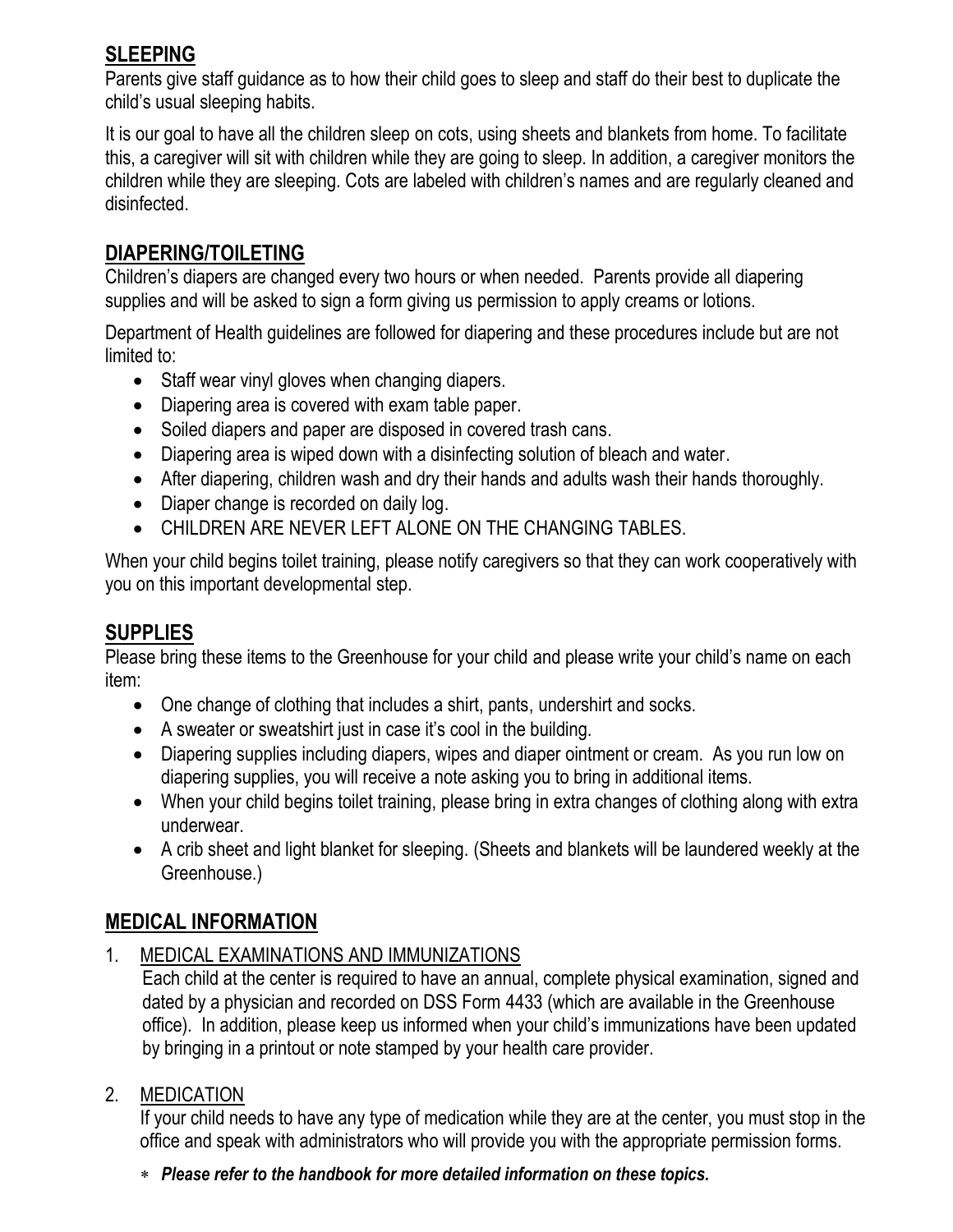## **SLEEPING**

Parents give staff guidance as to how their child goes to sleep and staff do their best to duplicate the child's usual sleeping habits.

It is our goal to have all the children sleep on cots, using sheets and blankets from home. To facilitate this, a caregiver will sit with children while they are going to sleep. In addition, a caregiver monitors the children while they are sleeping. Cots are labeled with children's names and are regularly cleaned and disinfected.

#### **DIAPERING/TOILETING**

Children's diapers are changed every two hours or when needed. Parents provide all diapering supplies and will be asked to sign a form giving us permission to apply creams or lotions.

Department of Health guidelines are followed for diapering and these procedures include but are not limited to:

- Staff wear vinyl gloves when changing diapers.
- Diapering area is covered with exam table paper.
- Soiled diapers and paper are disposed in covered trash cans.
- Diapering area is wiped down with a disinfecting solution of bleach and water.
- After diapering, children wash and dry their hands and adults wash their hands thoroughly.
- Diaper change is recorded on daily log.
- CHILDREN ARE NEVER LEFT ALONE ON THE CHANGING TABLES.

When your child begins toilet training, please notify caregivers so that they can work cooperatively with you on this important developmental step.

## **SUPPLIES**

Please bring these items to the Greenhouse for your child and please write your child's name on each item:

- One change of clothing that includes a shirt, pants, undershirt and socks.
- A sweater or sweatshirt just in case it's cool in the building.
- Diapering supplies including diapers, wipes and diaper ointment or cream. As you run low on diapering supplies, you will receive a note asking you to bring in additional items.
- When your child begins toilet training, please bring in extra changes of clothing along with extra underwear.
- A crib sheet and light blanket for sleeping. (Sheets and blankets will be laundered weekly at the Greenhouse.)

## **MEDICAL INFORMATION**

1. MEDICAL EXAMINATIONS AND IMMUNIZATIONS

Each child at the center is required to have an annual, complete physical examination, signed and dated by a physician and recorded on DSS Form 4433 (which are available in the Greenhouse office). In addition, please keep us informed when your child's immunizations have been updated by bringing in a printout or note stamped by your health care provider.

2. MEDICATION

If your child needs to have any type of medication while they are at the center, you must stop in the office and speak with administrators who will provide you with the appropriate permission forms.

*Please refer to the handbook for more detailed information on these topics.*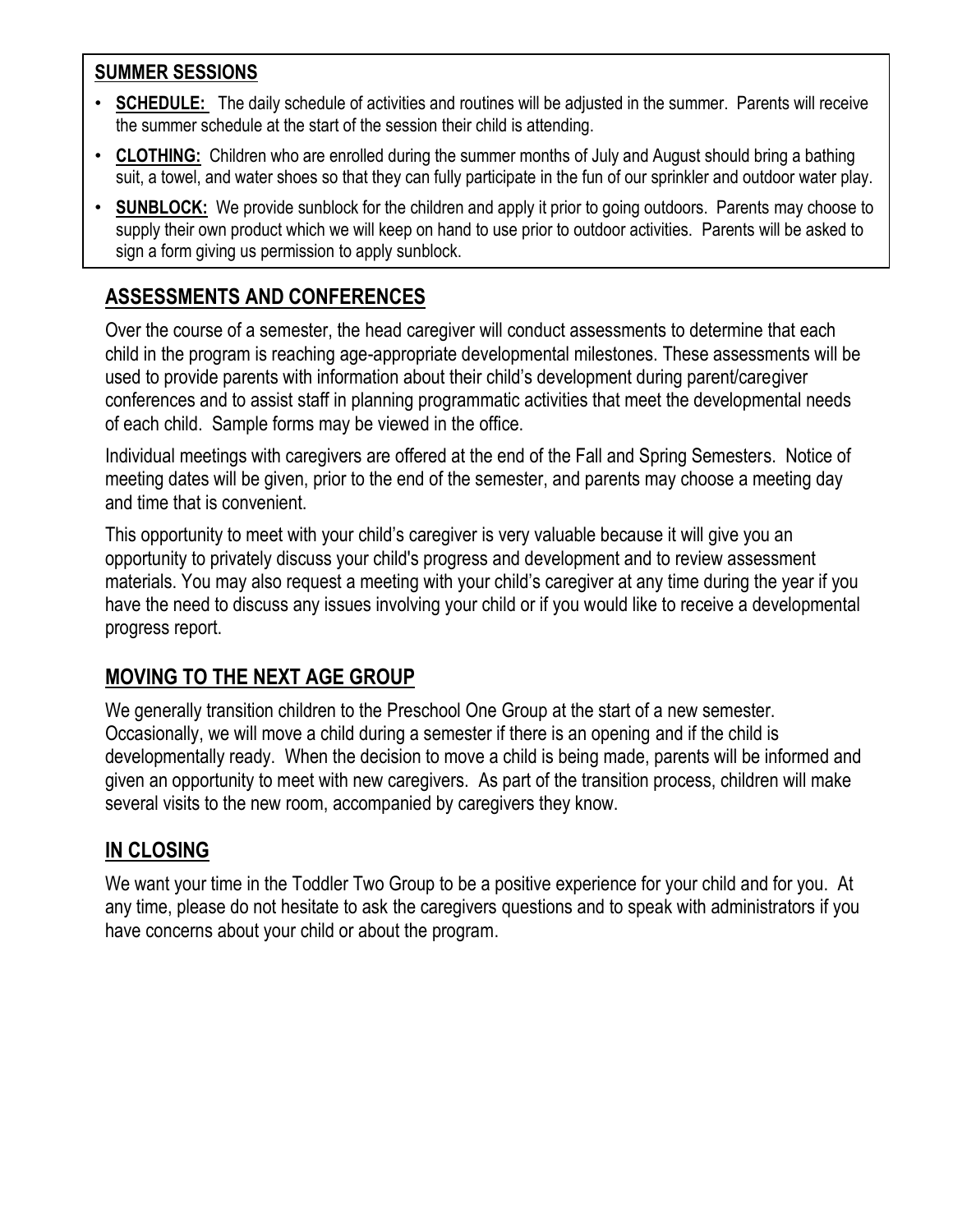#### **SUMMER SESSIONS**

- **SCHEDULE:** The daily schedule of activities and routines will be adjusted in the summer. Parents will receive the summer schedule at the start of the session their child is attending.
- **CLOTHING:** Children who are enrolled during the summer months of July and August should bring a bathing suit, a towel, and water shoes so that they can fully participate in the fun of our sprinkler and outdoor water play.
- **SUNBLOCK:** We provide sunblock for the children and apply it prior to going outdoors. Parents may choose to supply their own product which we will keep on hand to use prior to outdoor activities. Parents will be asked to sign a form giving us permission to apply sunblock.

# **ASSESSMENTS AND CONFERENCES**

Over the course of a semester, the head caregiver will conduct assessments to determine that each child in the program is reaching age-appropriate developmental milestones. These assessments will be used to provide parents with information about their child's development during parent/caregiver conferences and to assist staff in planning programmatic activities that meet the developmental needs of each child. Sample forms may be viewed in the office.

Individual meetings with caregivers are offered at the end of the Fall and Spring Semesters. Notice of meeting dates will be given, prior to the end of the semester, and parents may choose a meeting day and time that is convenient.

This opportunity to meet with your child's caregiver is very valuable because it will give you an opportunity to privately discuss your child's progress and development and to review assessment materials. You may also request a meeting with your child's caregiver at any time during the year if you have the need to discuss any issues involving your child or if you would like to receive a developmental progress report.

#### **MOVING TO THE NEXT AGE GROUP**

We generally transition children to the Preschool One Group at the start of a new semester. Occasionally, we will move a child during a semester if there is an opening and if the child is developmentally ready. When the decision to move a child is being made, parents will be informed and given an opportunity to meet with new caregivers. As part of the transition process, children will make several visits to the new room, accompanied by caregivers they know.

## **IN CLOSING**

We want your time in the Toddler Two Group to be a positive experience for your child and for you. At any time, please do not hesitate to ask the caregivers questions and to speak with administrators if you have concerns about your child or about the program.